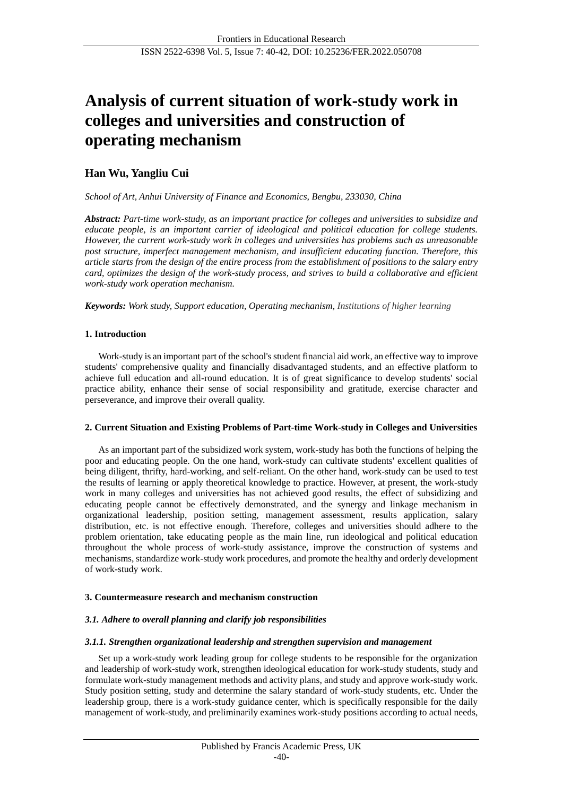# **Analysis of current situation of work-study work in colleges and universities and construction of operating mechanism**

# **Han Wu, Yangliu Cui**

*School of Art, Anhui University of Finance and Economics, Bengbu, 233030, China*

*Abstract: Part-time work-study, as an important practice for colleges and universities to subsidize and educate people, is an important carrier of ideological and political education for college students. However, the current work-study work in colleges and universities has problems such as unreasonable post structure, imperfect management mechanism, and insufficient educating function. Therefore, this article starts from the design of the entire process from the establishment of positions to the salary entry card, optimizes the design of the work-study process, and strives to build a collaborative and efficient work-study work operation mechanism.*

*Keywords: Work study, Support education, Operating mechanism, Institutions of higher learning*

# **1. Introduction**

Work-study is an important part of the school's student financial aid work, an effective way to improve students' comprehensive quality and financially disadvantaged students, and an effective platform to achieve full education and all-round education. It is of great significance to develop students' social practice ability, enhance their sense of social responsibility and gratitude, exercise character and perseverance, and improve their overall quality.

#### **2. Current Situation and Existing Problems of Part-time Work-study in Colleges and Universities**

As an important part of the subsidized work system, work-study has both the functions of helping the poor and educating people. On the one hand, work-study can cultivate students' excellent qualities of being diligent, thrifty, hard-working, and self-reliant. On the other hand, work-study can be used to test the results of learning or apply theoretical knowledge to practice. However, at present, the work-study work in many colleges and universities has not achieved good results, the effect of subsidizing and educating people cannot be effectively demonstrated, and the synergy and linkage mechanism in organizational leadership, position setting, management assessment, results application, salary distribution, etc. is not effective enough. Therefore, colleges and universities should adhere to the problem orientation, take educating people as the main line, run ideological and political education throughout the whole process of work-study assistance, improve the construction of systems and mechanisms, standardize work-study work procedures, and promote the healthy and orderly development of work-study work.

#### **3. Countermeasure research and mechanism construction**

# *3.1. Adhere to overall planning and clarify job responsibilities*

#### *3.1.1. Strengthen organizational leadership and strengthen supervision and management*

Set up a work-study work leading group for college students to be responsible for the organization and leadership of work-study work, strengthen ideological education for work-study students, study and formulate work-study management methods and activity plans, and study and approve work-study work. Study position setting, study and determine the salary standard of work-study students, etc. Under the leadership group, there is a work-study guidance center, which is specifically responsible for the daily management of work-study, and preliminarily examines work-study positions according to actual needs,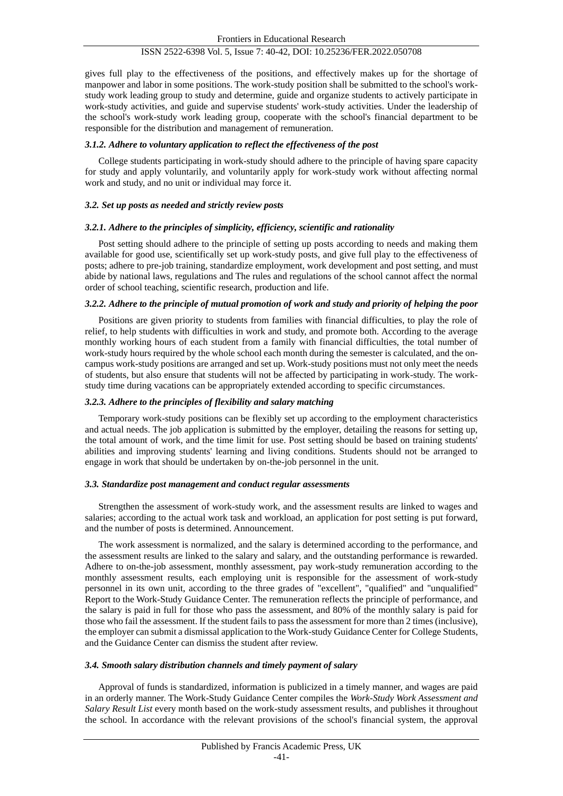# ISSN 2522-6398 Vol. 5, Issue 7: 40-42, DOI: 10.25236/FER.2022.050708

gives full play to the effectiveness of the positions, and effectively makes up for the shortage of manpower and labor in some positions. The work-study position shall be submitted to the school's workstudy work leading group to study and determine, guide and organize students to actively participate in work-study activities, and guide and supervise students' work-study activities. Under the leadership of the school's work-study work leading group, cooperate with the school's financial department to be responsible for the distribution and management of remuneration.

#### *3.1.2. Adhere to voluntary application to reflect the effectiveness of the post*

College students participating in work-study should adhere to the principle of having spare capacity for study and apply voluntarily, and voluntarily apply for work-study work without affecting normal work and study, and no unit or individual may force it.

#### *3.2. Set up posts as needed and strictly review posts*

#### *3.2.1. Adhere to the principles of simplicity, efficiency, scientific and rationality*

Post setting should adhere to the principle of setting up posts according to needs and making them available for good use, scientifically set up work-study posts, and give full play to the effectiveness of posts; adhere to pre-job training, standardize employment, work development and post setting, and must abide by national laws, regulations and The rules and regulations of the school cannot affect the normal order of school teaching, scientific research, production and life.

#### *3.2.2. Adhere to the principle of mutual promotion of work and study and priority of helping the poor*

Positions are given priority to students from families with financial difficulties, to play the role of relief, to help students with difficulties in work and study, and promote both. According to the average monthly working hours of each student from a family with financial difficulties, the total number of work-study hours required by the whole school each month during the semester is calculated, and the oncampus work-study positions are arranged and set up. Work-study positions must not only meet the needs of students, but also ensure that students will not be affected by participating in work-study. The workstudy time during vacations can be appropriately extended according to specific circumstances.

#### *3.2.3. Adhere to the principles of flexibility and salary matching*

Temporary work-study positions can be flexibly set up according to the employment characteristics and actual needs. The job application is submitted by the employer, detailing the reasons for setting up, the total amount of work, and the time limit for use. Post setting should be based on training students' abilities and improving students' learning and living conditions. Students should not be arranged to engage in work that should be undertaken by on-the-job personnel in the unit.

#### *3.3. Standardize post management and conduct regular assessments*

Strengthen the assessment of work-study work, and the assessment results are linked to wages and salaries; according to the actual work task and workload, an application for post setting is put forward, and the number of posts is determined. Announcement.

The work assessment is normalized, and the salary is determined according to the performance, and the assessment results are linked to the salary and salary, and the outstanding performance is rewarded. Adhere to on-the-job assessment, monthly assessment, pay work-study remuneration according to the monthly assessment results, each employing unit is responsible for the assessment of work-study personnel in its own unit, according to the three grades of "excellent", "qualified" and "unqualified" Report to the Work-Study Guidance Center. The remuneration reflects the principle of performance, and the salary is paid in full for those who pass the assessment, and 80% of the monthly salary is paid for those who fail the assessment. If the student fails to pass the assessment for more than 2 times (inclusive), the employer can submit a dismissal application to the Work-study Guidance Center for College Students, and the Guidance Center can dismiss the student after review.

#### *3.4. Smooth salary distribution channels and timely payment of salary*

Approval of funds is standardized, information is publicized in a timely manner, and wages are paid in an orderly manner. The Work-Study Guidance Center compiles the *Work-Study Work Assessment and Salary Result List* every month based on the work-study assessment results, and publishes it throughout the school. In accordance with the relevant provisions of the school's financial system, the approval